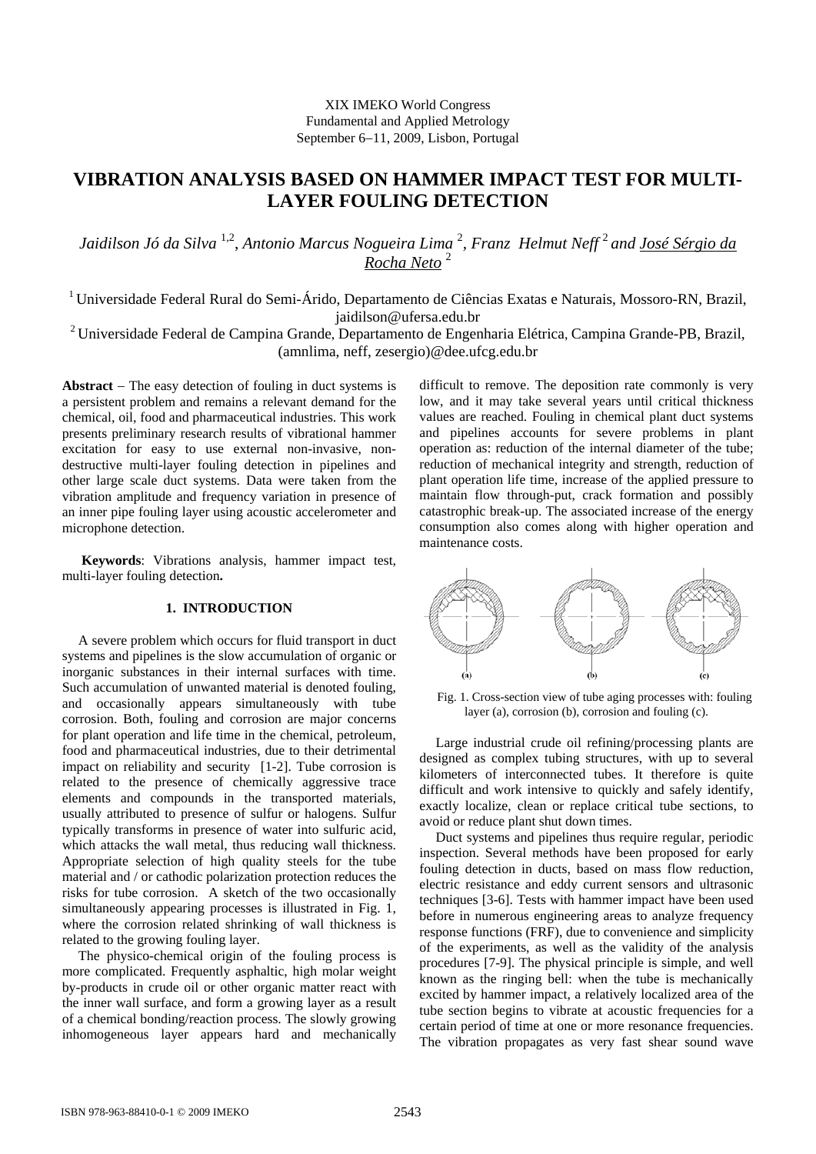## XIX IMEKO World Congress Fundamental and Applied Metrology September 6−11, 2009, Lisbon, Portugal

# **VIBRATION ANALYSIS BASED ON HAMMER IMPACT TEST FOR MULTI-LAYER FOULING DETECTION**

*Jaidilson Jó da Silva* 1,2, *Antonio Marcus Nogueira Lima* <sup>2</sup> *, Franz Helmut Neff* <sup>2</sup>*and José Sérgio da Rocha Neto* <sup>2</sup>

1 Universidade Federal Rural do Semi-Árido, Departamento de Ciências Exatas e Naturais, Mossoro-RN, Brazil, jaidilson@ufersa.edu.br

<sup>2</sup> Universidade Federal de Campina Grande, Departamento de Engenharia Elétrica, Campina Grande-PB, Brazil, (amnlima, neff, zesergio)@dee.ufcg.edu.br

**Abstract** − The easy detection of fouling in duct systems is a persistent problem and remains a relevant demand for the chemical, oil, food and pharmaceutical industries. This work presents preliminary research results of vibrational hammer excitation for easy to use external non-invasive, nondestructive multi-layer fouling detection in pipelines and other large scale duct systems. Data were taken from the vibration amplitude and frequency variation in presence of an inner pipe fouling layer using acoustic accelerometer and microphone detection.

**Keywords**: Vibrations analysis, hammer impact test, multi-layer fouling detection**.** 

### **1. INTRODUCTION**

A severe problem which occurs for fluid transport in duct systems and pipelines is the slow accumulation of organic or inorganic substances in their internal surfaces with time. Such accumulation of unwanted material is denoted fouling, and occasionally appears simultaneously with tube corrosion. Both, fouling and corrosion are major concerns for plant operation and life time in the chemical, petroleum, food and pharmaceutical industries, due to their detrimental impact on reliability and security [1-2]. Tube corrosion is related to the presence of chemically aggressive trace elements and compounds in the transported materials, usually attributed to presence of sulfur or halogens. Sulfur typically transforms in presence of water into sulfuric acid, which attacks the wall metal, thus reducing wall thickness. Appropriate selection of high quality steels for the tube material and / or cathodic polarization protection reduces the risks for tube corrosion. A sketch of the two occasionally simultaneously appearing processes is illustrated in Fig. 1, where the corrosion related shrinking of wall thickness is related to the growing fouling layer.

The physico-chemical origin of the fouling process is more complicated. Frequently asphaltic, high molar weight by-products in crude oil or other organic matter react with the inner wall surface, and form a growing layer as a result of a chemical bonding/reaction process. The slowly growing inhomogeneous layer appears hard and mechanically difficult to remove. The deposition rate commonly is very low, and it may take several years until critical thickness values are reached. Fouling in chemical plant duct systems and pipelines accounts for severe problems in plant operation as: reduction of the internal diameter of the tube; reduction of mechanical integrity and strength, reduction of plant operation life time, increase of the applied pressure to maintain flow through-put, crack formation and possibly catastrophic break-up. The associated increase of the energy consumption also comes along with higher operation and maintenance costs.



Fig. 1. Cross-section view of tube aging processes with: fouling layer (a), corrosion (b), corrosion and fouling (c).

Large industrial crude oil refining/processing plants are designed as complex tubing structures, with up to several kilometers of interconnected tubes. It therefore is quite difficult and work intensive to quickly and safely identify, exactly localize, clean or replace critical tube sections, to avoid or reduce plant shut down times.

Duct systems and pipelines thus require regular, periodic inspection. Several methods have been proposed for early fouling detection in ducts, based on mass flow reduction, electric resistance and eddy current sensors and ultrasonic techniques [3-6]. Tests with hammer impact have been used before in numerous engineering areas to analyze frequency response functions (FRF), due to convenience and simplicity of the experiments, as well as the validity of the analysis procedures [7-9]. The physical principle is simple, and well known as the ringing bell: when the tube is mechanically excited by hammer impact, a relatively localized area of the tube section begins to vibrate at acoustic frequencies for a certain period of time at one or more resonance frequencies. The vibration propagates as very fast shear sound wave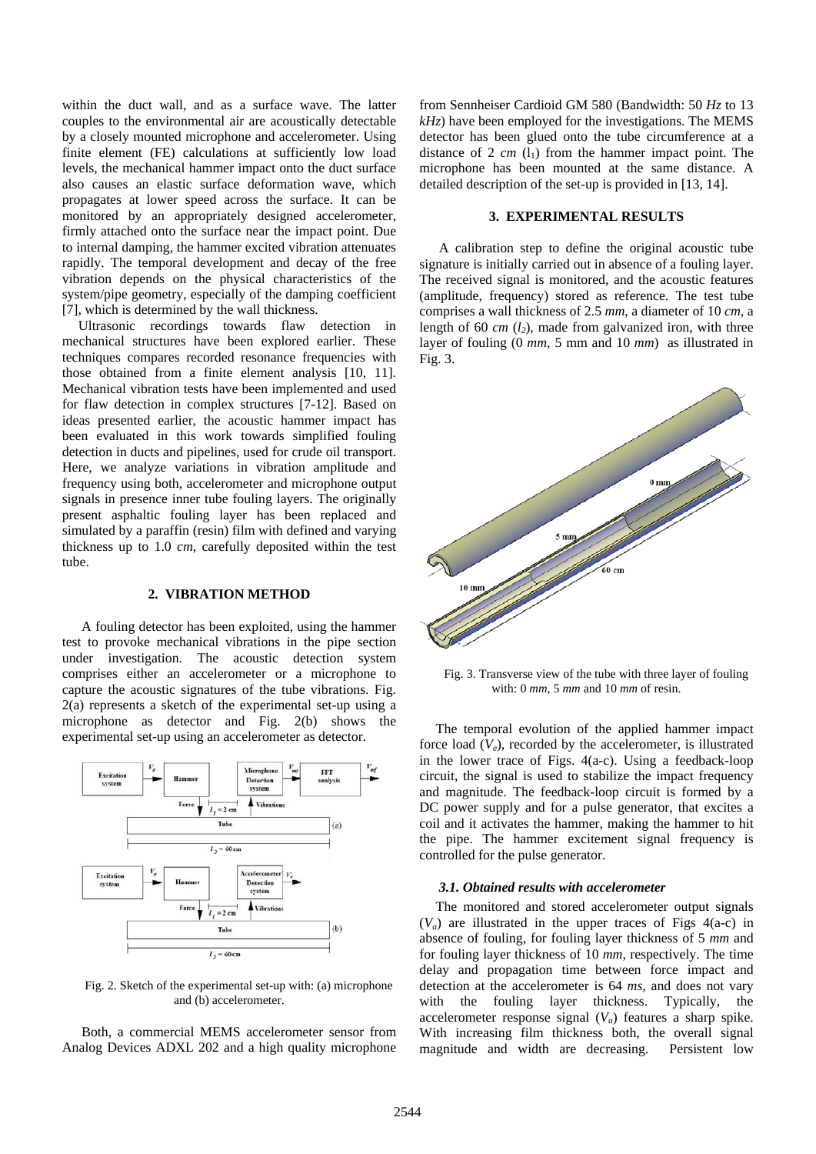within the duct wall, and as a surface wave. The latter couples to the environmental air are acoustically detectable by a closely mounted microphone and accelerometer. Using finite element (FE) calculations at sufficiently low load levels, the mechanical hammer impact onto the duct surface also causes an elastic surface deformation wave, which propagates at lower speed across the surface. It can be monitored by an appropriately designed accelerometer, firmly attached onto the surface near the impact point. Due to internal damping, the hammer excited vibration attenuates rapidly. The temporal development and decay of the free vibration depends on the physical characteristics of the system/pipe geometry, especially of the damping coefficient [7], which is determined by the wall thickness.

Ultrasonic recordings towards flaw detection in mechanical structures have been explored earlier. These techniques compares recorded resonance frequencies with those obtained from a finite element analysis [10, 11]. Mechanical vibration tests have been implemented and used for flaw detection in complex structures [7-12]. Based on ideas presented earlier, the acoustic hammer impact has been evaluated in this work towards simplified fouling detection in ducts and pipelines, used for crude oil transport. Here, we analyze variations in vibration amplitude and frequency using both, accelerometer and microphone output signals in presence inner tube fouling layers. The originally present asphaltic fouling layer has been replaced and simulated by a paraffin (resin) film with defined and varying thickness up to 1.0 *cm*, carefully deposited within the test tube.

### **2. VIBRATION METHOD**

A fouling detector has been exploited, using the hammer test to provoke mechanical vibrations in the pipe section under investigation. The acoustic detection system comprises either an accelerometer or a microphone to capture the acoustic signatures of the tube vibrations. Fig. 2(a) represents a sketch of the experimental set-up using a microphone as detector and Fig. 2(b) shows the experimental set-up using an accelerometer as detector.



Fig. 2. Sketch of the experimental set-up with: (a) microphone and (b) accelerometer.

Both, a commercial MEMS accelerometer sensor from Analog Devices ADXL 202 and a high quality microphone from Sennheiser Cardioid GM 580 (Bandwidth: 50 *Hz* to 13 *kHz*) have been employed for the investigations. The MEMS detector has been glued onto the tube circumference at a distance of  $2 \, cm \, (l_1)$  from the hammer impact point. The microphone has been mounted at the same distance. A detailed description of the set-up is provided in [13, 14].

### **3. EXPERIMENTAL RESULTS**

A calibration step to define the original acoustic tube signature is initially carried out in absence of a fouling layer. The received signal is monitored, and the acoustic features (amplitude, frequency) stored as reference. The test tube comprises a wall thickness of 2.5 *mm*, a diameter of 10 *cm*, a length of 60  $cm$  ( $l_2$ ), made from galvanized iron, with three layer of fouling (0 *mm*, 5 mm and 10 *mm*) as illustrated in Fig. 3.



Fig. 3. Transverse view of the tube with three layer of fouling with: 0 *mm*, 5 *mm* and 10 *mm* of resin.

The temporal evolution of the applied hammer impact force load  $(V_e)$ , recorded by the accelerometer, is illustrated in the lower trace of Figs. 4(a-c). Using a feedback-loop circuit, the signal is used to stabilize the impact frequency and magnitude. The feedback-loop circuit is formed by a DC power supply and for a pulse generator, that excites a coil and it activates the hammer, making the hammer to hit the pipe. The hammer excitement signal frequency is controlled for the pulse generator.

#### *3.1. Obtained results with accelerometer*

The monitored and stored accelerometer output signals  $(V_a)$  are illustrated in the upper traces of Figs  $4(a-c)$  in absence of fouling, for fouling layer thickness of 5 *mm* and for fouling layer thickness of 10 *mm*, respectively. The time delay and propagation time between force impact and detection at the accelerometer is 64 *ms*, and does not vary with the fouling layer thickness. Typically, the accelerometer response signal  $(V_a)$  features a sharp spike. With increasing film thickness both, the overall signal magnitude and width are decreasing. Persistent low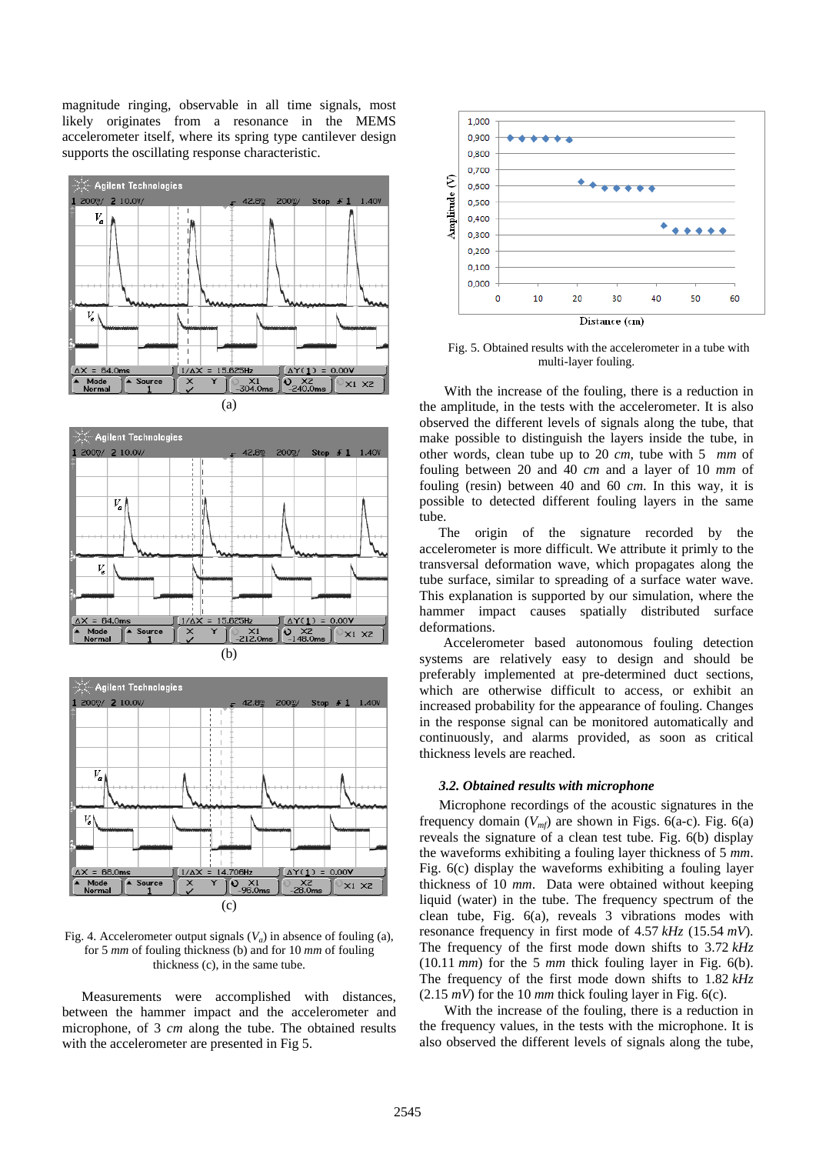magnitude ringing, observable in all time signals, most likely originates from a resonance in the MEMS accelerometer itself, where its spring type cantilever design supports the oscillating response characteristic.







Fig. 4. Accelerometer output signals  $(V_a)$  in absence of fouling (a), for 5 *mm* of fouling thickness (b) and for 10 *mm* of fouling thickness (c), in the same tube.

Measurements were accomplished with distances, between the hammer impact and the accelerometer and microphone, of 3 *cm* along the tube. The obtained results with the accelerometer are presented in Fig 5.



Fig. 5. Obtained results with the accelerometer in a tube with multi-layer fouling.

With the increase of the fouling, there is a reduction in the amplitude, in the tests with the accelerometer. It is also observed the different levels of signals along the tube, that make possible to distinguish the layers inside the tube, in other words, clean tube up to 20 *cm*, tube with 5 *mm* of fouling between 20 and 40 *cm* and a layer of 10 *mm* of fouling (resin) between 40 and 60 *cm*. In this way, it is possible to detected different fouling layers in the same tube.

 The origin of the signature recorded by the accelerometer is more difficult. We attribute it primly to the transversal deformation wave, which propagates along the tube surface, similar to spreading of a surface water wave. This explanation is supported by our simulation, where the hammer impact causes spatially distributed surface deformations.

 Accelerometer based autonomous fouling detection systems are relatively easy to design and should be preferably implemented at pre-determined duct sections, which are otherwise difficult to access, or exhibit an increased probability for the appearance of fouling. Changes in the response signal can be monitored automatically and continuously, and alarms provided, as soon as critical thickness levels are reached.

### *3.2. Obtained results with microphone*

Microphone recordings of the acoustic signatures in the frequency domain  $(V_{m\ell})$  are shown in Figs. 6(a-c). Fig. 6(a) reveals the signature of a clean test tube. Fig. 6(b) display the waveforms exhibiting a fouling layer thickness of 5 *mm*. Fig. 6(c) display the waveforms exhibiting a fouling layer thickness of 10 *mm*. Data were obtained without keeping liquid (water) in the tube. The frequency spectrum of the clean tube, Fig. 6(a), reveals 3 vibrations modes with resonance frequency in first mode of 4.57 *kHz* (15.54 *mV*). The frequency of the first mode down shifts to 3.72 *kHz*  (10.11 *mm*) for the 5 *mm* thick fouling layer in Fig. 6(b). The frequency of the first mode down shifts to 1.82 *kHz*  $(2.15 \, \text{mV})$  for the 10  $\text{mm}$  thick fouling layer in Fig. 6(c).

With the increase of the fouling, there is a reduction in the frequency values, in the tests with the microphone. It is also observed the different levels of signals along the tube,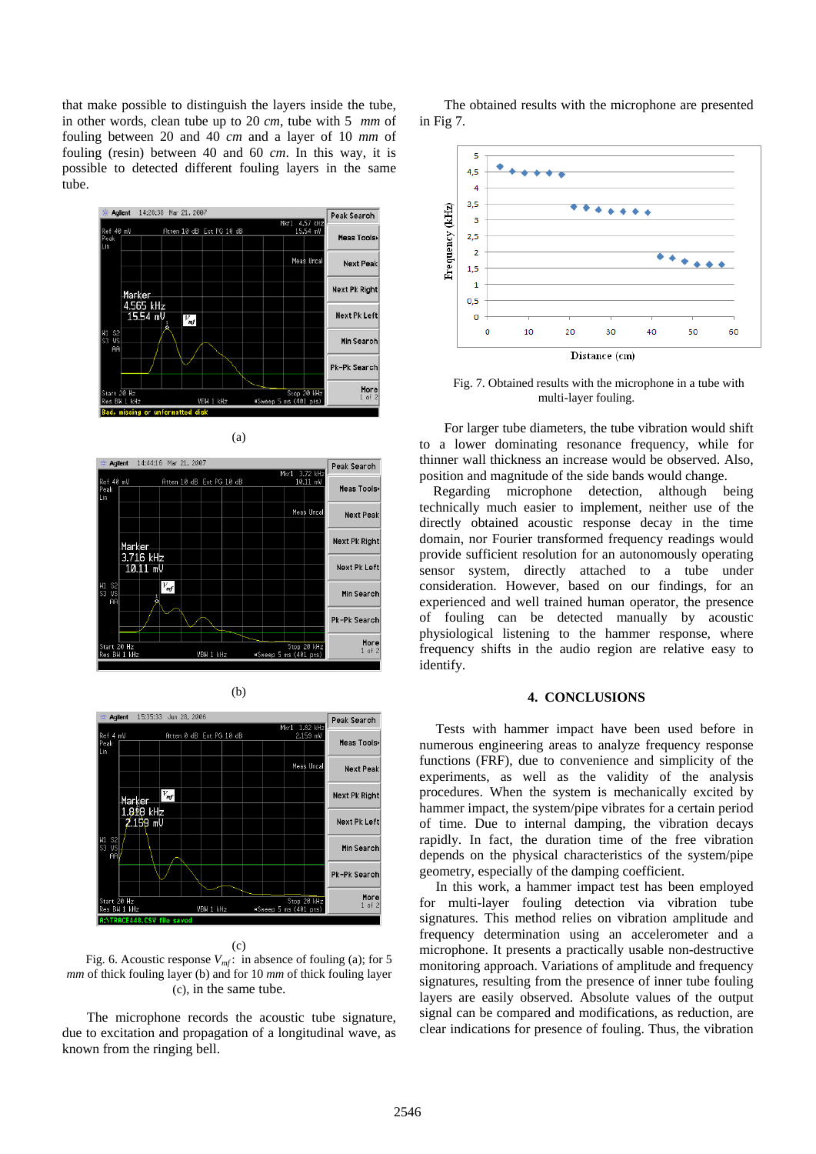that make possible to distinguish the layers inside the tube, in other words, clean tube up to 20 *cm*, tube with 5 *mm* of fouling between 20 and 40 *cm* and a layer of 10 *mm* of fouling (resin) between 40 and 60 *cm*. In this way, it is possible to detected different fouling layers in the same tube.







(b)

(c)

Fig. 6. Acoustic response  $V_{\text{mf}}$ : in absence of fouling (a); for 5 *mm* of thick fouling layer (b) and for 10 *mm* of thick fouling layer (c), in the same tube.

The microphone records the acoustic tube signature, due to excitation and propagation of a longitudinal wave, as known from the ringing bell.

The obtained results with the microphone are presented in Fig 7.



Fig. 7. Obtained results with the microphone in a tube with multi-layer fouling.

For larger tube diameters, the tube vibration would shift to a lower dominating resonance frequency, while for thinner wall thickness an increase would be observed. Also, position and magnitude of the side bands would change.

 Regarding microphone detection, although being technically much easier to implement, neither use of the directly obtained acoustic response decay in the time domain, nor Fourier transformed frequency readings would provide sufficient resolution for an autonomously operating sensor system, directly attached to a tube under consideration. However, based on our findings, for an experienced and well trained human operator, the presence of fouling can be detected manually by acoustic physiological listening to the hammer response, where frequency shifts in the audio region are relative easy to identify.

### **4. CONCLUSIONS**

Tests with hammer impact have been used before in numerous engineering areas to analyze frequency response functions (FRF), due to convenience and simplicity of the experiments, as well as the validity of the analysis procedures. When the system is mechanically excited by hammer impact, the system/pipe vibrates for a certain period of time. Due to internal damping, the vibration decays rapidly. In fact, the duration time of the free vibration depends on the physical characteristics of the system/pipe geometry, especially of the damping coefficient.

In this work, a hammer impact test has been employed for multi-layer fouling detection via vibration tube signatures. This method relies on vibration amplitude and frequency determination using an accelerometer and a microphone. It presents a practically usable non-destructive monitoring approach. Variations of amplitude and frequency signatures, resulting from the presence of inner tube fouling layers are easily observed. Absolute values of the output signal can be compared and modifications, as reduction, are clear indications for presence of fouling. Thus, the vibration